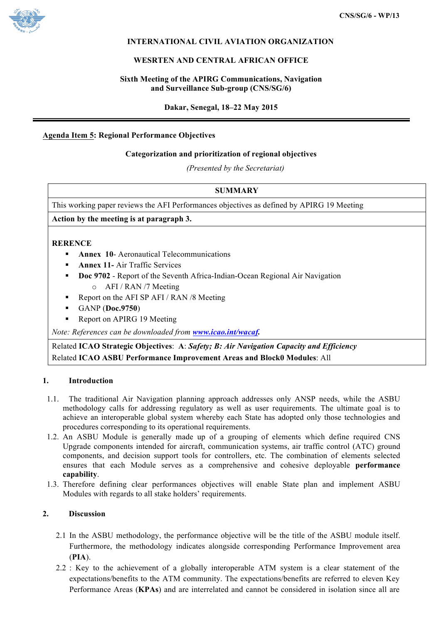

## **INTERNATIONAL CIVIL AVIATION ORGANIZATION**

### **WESRTEN AND CENTRAL AFRICAN OFFICE**

## **Sixth Meeting of the APIRG Communications, Navigation and Surveillance Sub-group (CNS/SG/6)**

**Dakar, Senegal, 18–22 May 2015**

## **Agenda Item 5: Regional Performance Objectives**

#### **Categorization and prioritization of regional objectives**

*(Presented by the Secretariat)*

## **SUMMARY**

This working paper reviews the AFI Performances objectives as defined by APIRG 19 Meeting

**Action by the meeting is at paragraph 3.**

#### **RERENCE**

- **Annex 10-** Aeronautical Telecommunications
- **Annex 11-** Air Traffic Services
- **Doc 9702** Report of the Seventh Africa-Indian-Ocean Regional Air Navigation o AFI / RAN /7 Meeting
- Report on the AFI SP AFI / RAN /8 Meeting
- § GANP (**Doc.9750**)
- Report on APIRG 19 Meeting

*Note: References can be downloaded from www.icao.int/wacaf.*

Related **ICAO Strategic Objectives**: **A**: *Safety; B: Air Navigation Capacity and Efficiency* Related **ICAO ASBU Performance Improvement Areas and Block0 Modules**: All

#### **1. Introduction**

- 1.1. The traditional Air Navigation planning approach addresses only ANSP needs, while the ASBU methodology calls for addressing regulatory as well as user requirements. The ultimate goal is to achieve an interoperable global system whereby each State has adopted only those technologies and procedures corresponding to its operational requirements.
- 1.2. An ASBU Module is generally made up of a grouping of elements which define required CNS Upgrade components intended for aircraft, communication systems, air traffic control (ATC) ground components, and decision support tools for controllers, etc. The combination of elements selected ensures that each Module serves as a comprehensive and cohesive deployable **performance capability**.
- 1.3. Therefore defining clear performances objectives will enable State plan and implement ASBU Modules with regards to all stake holders' requirements.

## **2. Discussion**

- 2.1 In the ASBU methodology, the performance objective will be the title of the ASBU module itself. Furthermore, the methodology indicates alongside corresponding Performance Improvement area (**PIA**).
- 2.2 : Key to the achievement of a globally interoperable ATM system is a clear statement of the expectations/benefits to the ATM community. The expectations/benefits are referred to eleven Key Performance Areas (**KPAs**) and are interrelated and cannot be considered in isolation since all are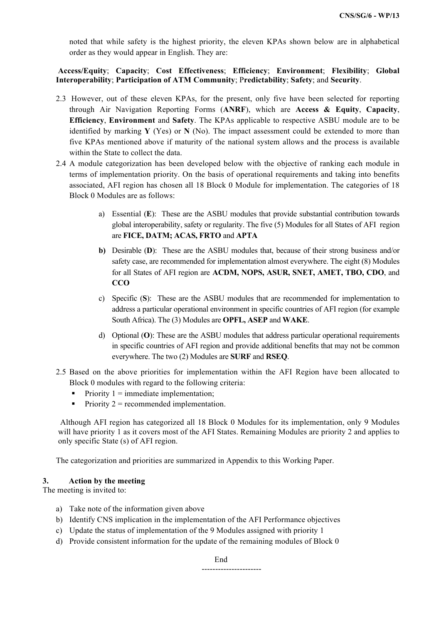noted that while safety is the highest priority, the eleven KPAs shown below are in alphabetical order as they would appear in English. They are:

**Access/Equity**; **Capacity**; **Cost Effectiveness**; **Efficiency**; **Environment**; **Flexibility**; **Global Interoperability**; **Participation of ATM Community**; P**redictability**; **Safety**; and **Security**.

- 2.3 However, out of these eleven KPAs, for the present, only five have been selected for reporting through Air Navigation Reporting Forms (**ANRF**), which are **Access & Equity**, **Capacity**, **Efficiency**, **Environment** and **Safety**. The KPAs applicable to respective ASBU module are to be identified by marking **Y** (Yes) or **N** (No). The impact assessment could be extended to more than five KPAs mentioned above if maturity of the national system allows and the process is available within the State to collect the data.
- 2.4 A module categorization has been developed below with the objective of ranking each module in terms of implementation priority. On the basis of operational requirements and taking into benefits associated, AFI region has chosen all 18 Block 0 Module for implementation. The categories of 18 Block 0 Modules are as follows:
	- a) Essential (**E**): These are the ASBU modules that provide substantial contribution towards global interoperability, safety or regularity. The five (5) Modules for all States of AFI region are **FICE, DATM; ACAS, FRTO** and **APTA**
	- **b)** Desirable (**D**): These are the ASBU modules that, because of their strong business and/or safety case, are recommended for implementation almost everywhere. The eight (8) Modules for all States of AFI region are **ACDM, NOPS, ASUR, SNET, AMET, TBO, CDO**, and **CCO**
	- c) Specific (**S**): These are the ASBU modules that are recommended for implementation to address a particular operational environment in specific countries of AFI region (for example South Africa). The (3) Modules are **OPFL, ASEP** and **WAKE**.
	- d) Optional (**O**): These are the ASBU modules that address particular operational requirements in specific countries of AFI region and provide additional benefits that may not be common everywhere. The two (2) Modules are **SURF** and **RSEQ**.
- 2.5 Based on the above priorities for implementation within the AFI Region have been allocated to Block 0 modules with regard to the following criteria:
	- Priority  $1 =$  immediate implementation;
	- Priority  $2 =$  recommended implementation.

Although AFI region has categorized all 18 Block 0 Modules for its implementation, only 9 Modules will have priority 1 as it covers most of the AFI States. Remaining Modules are priority 2 and applies to only specific State (s) of AFI region.

The categorization and priorities are summarized in Appendix to this Working Paper.

## **3. Action by the meeting**

The meeting is invited to:

- a) Take note of the information given above
- b) Identify CNS implication in the implementation of the AFI Performance objectives
- c) Update the status of implementation of the 9 Modules assigned with priority 1
- d) Provide consistent information for the update of the remaining modules of Block 0

End

----------------------